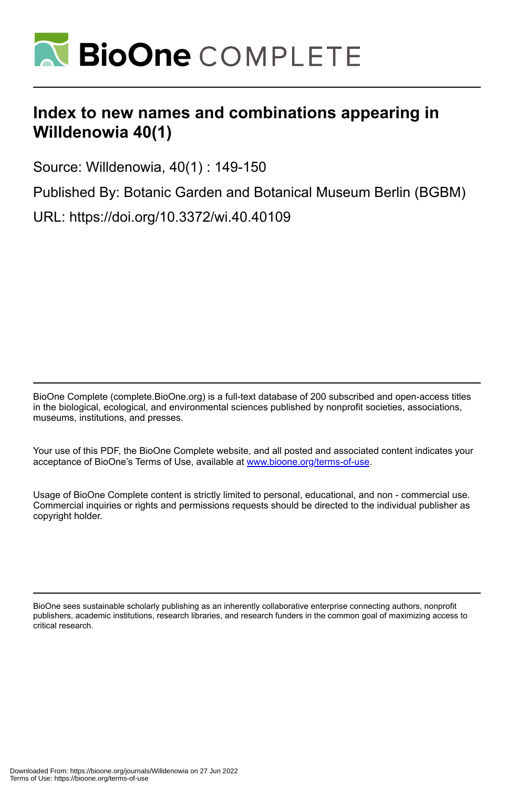

## **Index to new names and combinations appearing in Willdenowia 40(1)**

Source: Willdenowia, 40(1) : 149-150

Published By: Botanic Garden and Botanical Museum Berlin (BGBM) URL: https://doi.org/10.3372/wi.40.40109

BioOne Complete (complete.BioOne.org) is a full-text database of 200 subscribed and open-access titles in the biological, ecological, and environmental sciences published by nonprofit societies, associations, museums, institutions, and presses.

Your use of this PDF, the BioOne Complete website, and all posted and associated content indicates your acceptance of BioOne's Terms of Use, available at www.bioone.org/terms-of-use.

Usage of BioOne Complete content is strictly limited to personal, educational, and non - commercial use. Commercial inquiries or rights and permissions requests should be directed to the individual publisher as copyright holder.

BioOne sees sustainable scholarly publishing as an inherently collaborative enterprise connecting authors, nonprofit publishers, academic institutions, research libraries, and research funders in the common goal of maximizing access to critical research.